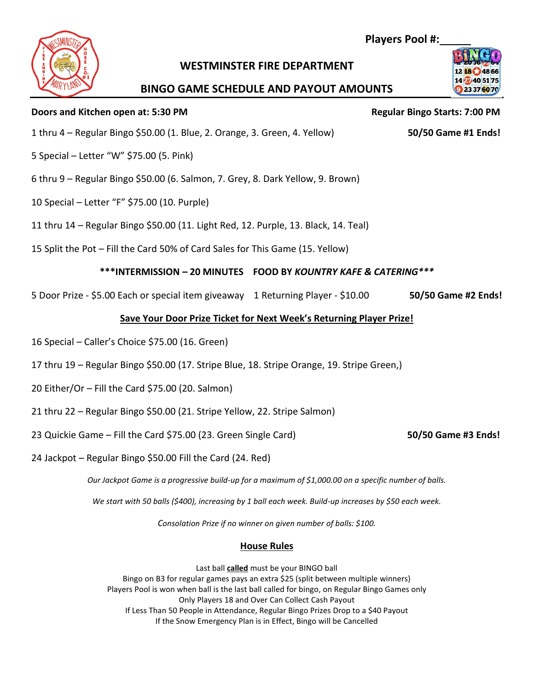# **WESTMINSTER FIRE DEPARTMENT**

## **BINGO GAME SCHEDULE AND PAYOUT AMOUNTS**

#### **Doors and Kitchen open at: 5:30 PM Regular Bingo Starts: 7:00 PM**

- 
- 5 Special Letter "W" \$75.00 (5. Pink)
- 6 thru 9 Regular Bingo \$50.00 (6. Salmon, 7. Grey, 8. Dark Yellow, 9. Brown)
- 10 Special Letter "F" \$75.00 (10. Purple)
- 11 thru 14 Regular Bingo \$50.00 (11. Light Red, 12. Purple, 13. Black, 14. Teal)
- 15 Split the Pot Fill the Card 50% of Card Sales for This Game (15. Yellow)

### **\*\*\*INTERMISSION – 20 MINUTES FOOD BY** *KOUNTRY KAFE & CATERING\*\*\**

5 Door Prize - \$5.00 Each or special item giveaway 1 Returning Player - \$10.00 **50/50 Game #2 Ends!**

## **Save Your Door Prize Ticket for Next Week's Returning Player Prize!**

- 16 Special Caller's Choice \$75.00 (16. Green)
- 17 thru 19 Regular Bingo \$50.00 (17. Stripe Blue, 18. Stripe Orange, 19. Stripe Green,)
- 20 Either/Or Fill the Card \$75.00 (20. Salmon)
- 21 thru 22 Regular Bingo \$50.00 (21. Stripe Yellow, 22. Stripe Salmon)
- 23 Quickie Game Fill the Card \$75.00 (23. Green Single Card) **50/50 Game #3 Ends!**
- 24 Jackpot Regular Bingo \$50.00 Fill the Card (24. Red)

*Our Jackpot Game is a progressive build-up for a maximum of \$1,000.00 on a specific number of balls.* 

*We start with 50 balls (\$400), increasing by 1 ball each week. Build-up increases by \$50 each week.* 

*Consolation Prize if no winner on given number of balls: \$100.*

#### **House Rules**

Last ball **called** must be your BINGO ball Bingo on B3 for regular games pays an extra \$25 (split between multiple winners) Players Pool is won when ball is the last ball called for bingo, on Regular Bingo Games only Only Players 18 and Over Can Collect Cash Payout If Less Than 50 People in Attendance, Regular Bingo Prizes Drop to a \$40 Payout If the Snow Emergency Plan is in Effect, Bingo will be Cancelled

 **Players Pool #:**



1 thru 4 – Regular Bingo \$50.00 (1. Blue, 2. Orange, 3. Green, 4. Yellow) **50/50 Game #1 Ends!**